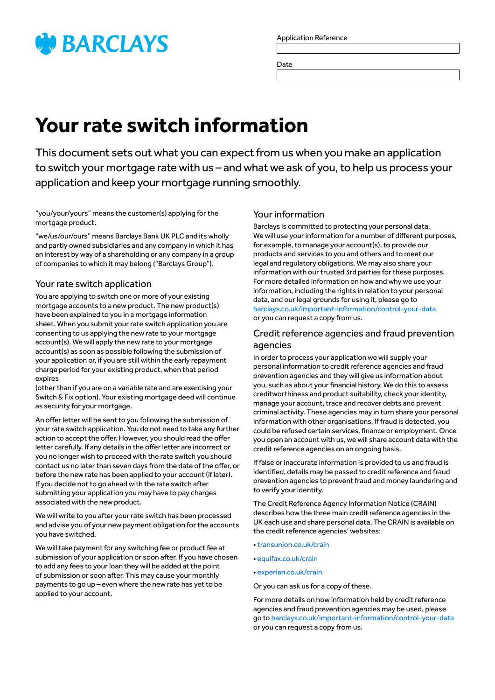

Application Reference

Date

# **Your rate switch information**

This document sets out what you can expect from us when you make an application to switch your mortgage rate with us – and what we ask of you, to help us process your application and keep your mortgage running smoothly.

"you/your/yours" means the customer(s) applying for the mortgage product.

"we/us/our/ours" means Barclays Bank UK PLC and its wholly and partly owned subsidiaries and any company in which it has an interest by way of a shareholding or any company in a group of companies to which it may belong ("Barclays Group").

# Your rate switch application

You are applying to switch one or more of your existing mortgage accounts to a new product. The new product(s) have been explained to you in a mortgage information sheet. When you submit your rate switch application you are consenting to us applying the new rate to your mortgage account(s). We will apply the new rate to your mortgage account(s) as soon as possible following the submission of your application or, if you are still within the early repayment charge period for your existing product, when that period expires

(other than if you are on a variable rate and are exercising your Switch & Fix option). Your existing mortgage deed will continue as security for your mortgage.

An offer letter will be sent to you following the submission of your rate switch application. You do not need to take any further action to accept the offer. However, you should read the offer letter carefully. If any details in the offer letter are incorrect or you no longer wish to proceed with the rate switch you should contact us no later than seven days from the date of the offer, or before the new rate has been applied to your account (if later). If you decide not to go ahead with the rate switch after submitting your application you may have to pay charges associated with the new product.

We will write to you after your rate switch has been processed and advise you of your new payment obligation for the accounts you have switched.

We will take payment for any switching fee or product fee at submission of your application or soon after. If you have chosen to add any fees to your loan they will be added at the point of submission or soon after. This may cause your monthly payments to go up – even where the new rate has yet to be applied to your account.

# Your information

Barclays is committed to protecting your personal data. We will use your information for a number of different purposes, for example, to manage your account(s), to provide our products and services to you and others and to meet our legal and regulatory obligations. We may also share your information with our trusted 3rd parties for these purposes. For more detailed information on how and why we use your information, including the rights in relation to your personal data, and our legal grounds for using it, please go to [barclays.co.uk/important-information/control-your-data](http://www.barclays.co.uk/important-information/control-your-data) or you can request a copy from us.

# Credit reference agencies and fraud prevention agencies

In order to process your application we will supply your personal information to credit reference agencies and fraud prevention agencies and they will give us information about you, such as about your financial history. We do this to assess creditworthiness and product suitability, check your identity, manage your account, trace and recover debts and prevent criminal activity. These agencies may in turn share your personal information with other organisations. If fraud is detected, you could be refused certain services, finance or employment. Once you open an account with us, we will share account data with the credit reference agencies on an ongoing basis.

If false or inaccurate information is provided to us and fraud is identified, details may be passed to credit reference and fraud prevention agencies to prevent fraud and money laundering and to verify your identity.

The Credit Reference Agency Information Notice (CRAIN) describes how the three main credit reference agencies in the UK each use and share personal data. The CRAIN is available on the credit reference agencies' websites:

- [transunion.co.uk/crain](http://transunion.co.uk/crain)
- [equifax.co.uk/crain](http://equifax.co.uk/crain)
- [experian.co.uk/crain](http://experian.co.uk/crain)

Or you can ask us for a copy of these.

For more details on how information held by credit reference agencies and fraud prevention agencies may be used, please go to [barclays.co.uk/important-information/control-your-data](http://www.barclays.co.uk/important-information/control-your-data) or you can request a copy from us.